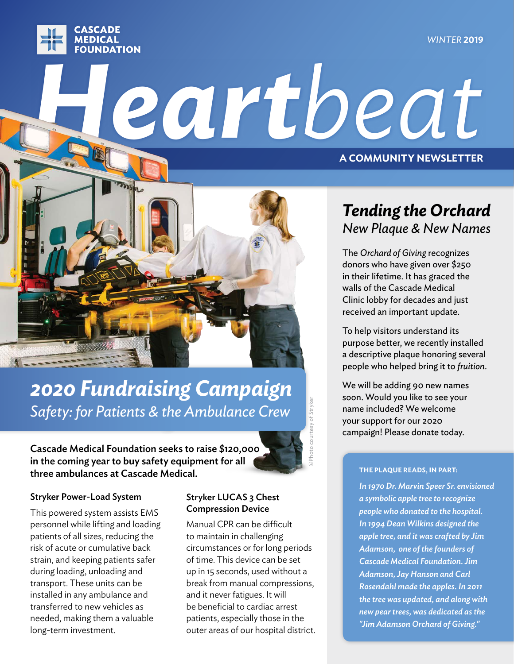#### *WINTER* **2019**



# *Heartbeat* **A COMMUNITY NEWSLETTER**



## *2020 Fundraising Campaign Safety: for Patients & the Ambulance Crew*

Cascade Medical Foundation seeks to raise \$120,000 in the coming year to buy safety equipment for all three ambulances at Cascade Medical.

©Photo courtesy of Stryker

#### Stryker Power-Load System

This powered system assists EMS personnel while lifting and loading patients of all sizes, reducing the risk of acute or cumulative back strain, and keeping patients safer during loading, unloading and transport. These units can be installed in any ambulance and transferred to new vehicles as needed, making them a valuable long-term investment.

### Stryker LUCAS 3 Chest Compression Device

Manual CPR can be difficult to maintain in challenging circumstances or for long periods of time. This device can be set up in 15 seconds, used without a break from manual compressions, and it never fatigues. It will be beneficial to cardiac arrest patients, especially those in the outer areas of our hospital district.

## *Tending the Orchard New Plaque & New Names*

The *Orchard of Giving* recognizes donors who have given over \$250 in their lifetime. It has graced the walls of the Cascade Medical Clinic lobby for decades and just received an important update.

To help visitors understand its purpose better, we recently installed a descriptive plaque honoring several people who helped bring it to *fruition*.

We will be adding 90 new names soon. Would you like to see your name included? We welcome your support for our 2020 campaign! Please donate today.

#### **THE PLAQUE READS, IN PART:**

*In 1970 Dr. Marvin Speer Sr. envisioned a symbolic apple tree to recognize people who donated to the hospital. In 1994 Dean Wilkins designed the apple tree, and it was crafted by Jim Adamson, one of the founders of Cascade Medical Foundation. Jim Adamson, Jay Hanson and Carl Rosendahl made the apples. In 2011 the tree was updated, and along with new pear trees, was dedicated as the "Jim Adamson Orchard of Giving."*